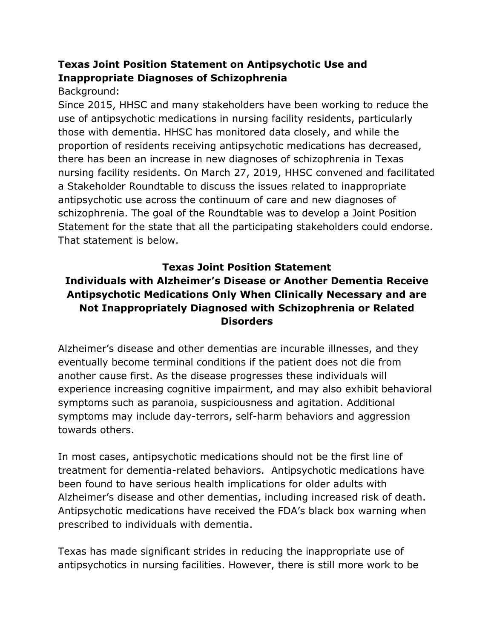## **Texas Joint Position Statement on Antipsychotic Use and Inappropriate Diagnoses of Schizophrenia**

## Background:

Since 2015, HHSC and many stakeholders have been working to reduce the use of antipsychotic medications in nursing facility residents, particularly those with dementia. HHSC has monitored data closely, and while the proportion of residents receiving antipsychotic medications has decreased, there has been an increase in new diagnoses of schizophrenia in Texas nursing facility residents. On March 27, 2019, HHSC convened and facilitated a Stakeholder Roundtable to discuss the issues related to inappropriate antipsychotic use across the continuum of care and new diagnoses of schizophrenia. The goal of the Roundtable was to develop a Joint Position Statement for the state that all the participating stakeholders could endorse. That statement is below.

## **Texas Joint Position Statement**

## **Individuals with Alzheimer's Disease or Another Dementia Receive Antipsychotic Medications Only When Clinically Necessary and are Not Inappropriately Diagnosed with Schizophrenia or Related Disorders**

Alzheimer's disease and other dementias are incurable illnesses, and they eventually become terminal conditions if the patient does not die from another cause first. As the disease progresses these individuals will experience increasing cognitive impairment, and may also exhibit behavioral symptoms such as paranoia, suspiciousness and agitation. Additional symptoms may include day-terrors, self-harm behaviors and aggression towards others.

In most cases, antipsychotic medications should not be the first line of treatment for dementia-related behaviors. Antipsychotic medications have been found to have serious health implications for older adults with Alzheimer's disease and other dementias, including increased risk of death. Antipsychotic medications have received the FDA's black box warning when prescribed to individuals with dementia.

Texas has made significant strides in reducing the inappropriate use of antipsychotics in nursing facilities. However, there is still more work to be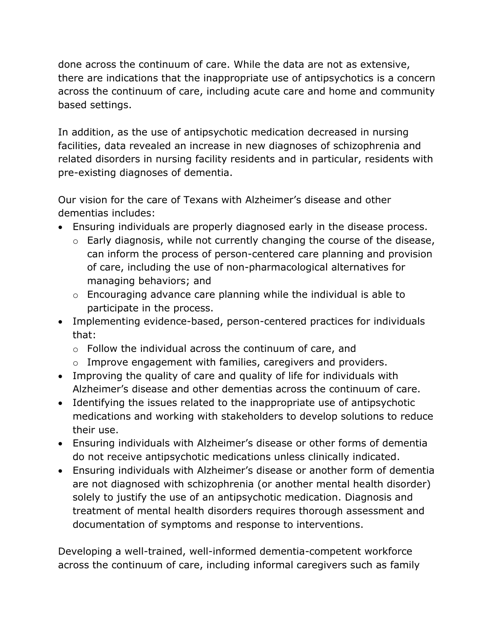done across the continuum of care. While the data are not as extensive, there are indications that the inappropriate use of antipsychotics is a concern across the continuum of care, including acute care and home and community based settings.

In addition, as the use of antipsychotic medication decreased in nursing facilities, data revealed an increase in new diagnoses of schizophrenia and related disorders in nursing facility residents and in particular, residents with pre-existing diagnoses of dementia.

Our vision for the care of Texans with Alzheimer's disease and other dementias includes:

- Ensuring individuals are properly diagnosed early in the disease process.
	- o Early diagnosis, while not currently changing the course of the disease, can inform the process of person-centered care planning and provision of care, including the use of non-pharmacological alternatives for managing behaviors; and
	- o Encouraging advance care planning while the individual is able to participate in the process.
- Implementing evidence-based, person-centered practices for individuals that:
	- o Follow the individual across the continuum of care, and
	- o Improve engagement with families, caregivers and providers.
- Improving the quality of care and quality of life for individuals with Alzheimer's disease and other dementias across the continuum of care.
- Identifying the issues related to the inappropriate use of antipsychotic medications and working with stakeholders to develop solutions to reduce their use.
- Ensuring individuals with Alzheimer's disease or other forms of dementia do not receive antipsychotic medications unless clinically indicated.
- Ensuring individuals with Alzheimer's disease or another form of dementia are not diagnosed with schizophrenia (or another mental health disorder) solely to justify the use of an antipsychotic medication. Diagnosis and treatment of mental health disorders requires thorough assessment and documentation of symptoms and response to interventions.

Developing a well-trained, well-informed dementia-competent workforce across the continuum of care, including informal caregivers such as family